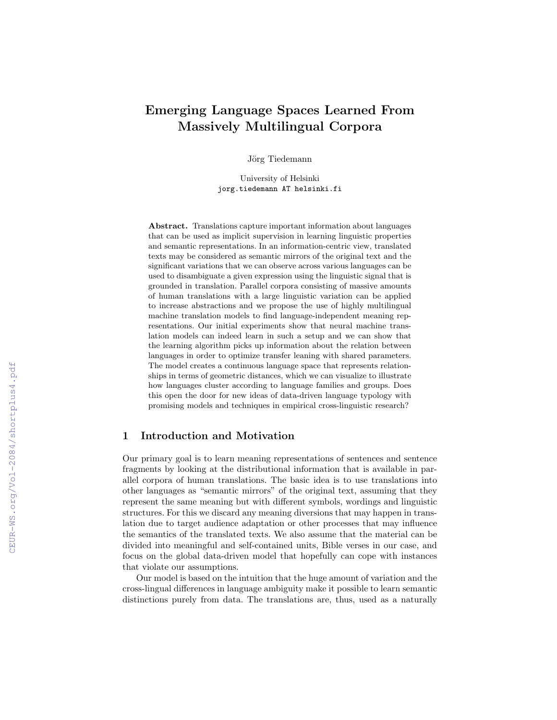# Emerging Language Spaces Learned From Massively Multilingual Corpora

Jörg Tiedemann

University of Helsinki jorg.tiedemann AT helsinki.fi

Abstract. Translations capture important information about languages that can be used as implicit supervision in learning linguistic properties and semantic representations. In an information-centric view, translated texts may be considered as semantic mirrors of the original text and the significant variations that we can observe across various languages can be used to disambiguate a given expression using the linguistic signal that is grounded in translation. Parallel corpora consisting of massive amounts of human translations with a large linguistic variation can be applied to increase abstractions and we propose the use of highly multilingual machine translation models to find language-independent meaning representations. Our initial experiments show that neural machine translation models can indeed learn in such a setup and we can show that the learning algorithm picks up information about the relation between languages in order to optimize transfer leaning with shared parameters. The model creates a continuous language space that represents relationships in terms of geometric distances, which we can visualize to illustrate how languages cluster according to language families and groups. Does this open the door for new ideas of data-driven language typology with promising models and techniques in empirical cross-linguistic research?

## 1 Introduction and Motivation

Our primary goal is to learn meaning representations of sentences and sentence fragments by looking at the distributional information that is available in parallel corpora of human translations. The basic idea is to use translations into other languages as "semantic mirrors" of the original text, assuming that they represent the same meaning but with different symbols, wordings and linguistic structures. For this we discard any meaning diversions that may happen in translation due to target audience adaptation or other processes that may influence the semantics of the translated texts. We also assume that the material can be divided into meaningful and self-contained units, Bible verses in our case, and focus on the global data-driven model that hopefully can cope with instances that violate our assumptions.

Our model is based on the intuition that the huge amount of variation and the cross-lingual differences in language ambiguity make it possible to learn semantic distinctions purely from data. The translations are, thus, used as a naturally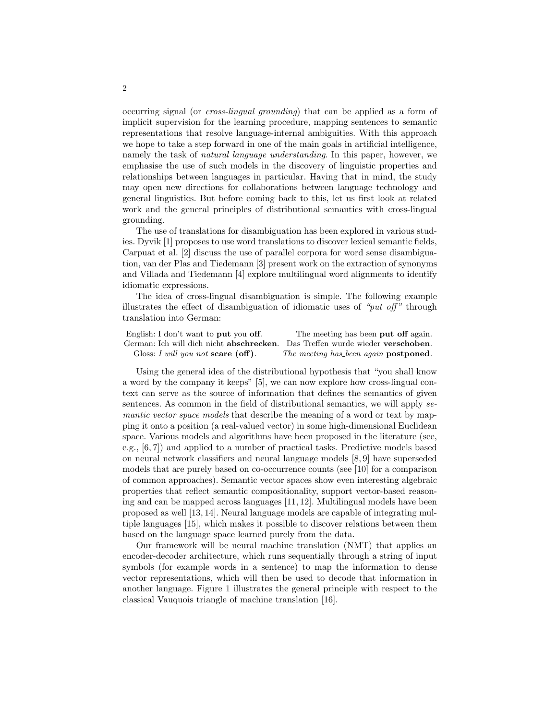occurring signal (or cross-lingual grounding) that can be applied as a form of implicit supervision for the learning procedure, mapping sentences to semantic representations that resolve language-internal ambiguities. With this approach we hope to take a step forward in one of the main goals in artificial intelligence, namely the task of natural language understanding. In this paper, however, we emphasise the use of such models in the discovery of linguistic properties and relationships between languages in particular. Having that in mind, the study may open new directions for collaborations between language technology and general linguistics. But before coming back to this, let us first look at related work and the general principles of distributional semantics with cross-lingual grounding.

The use of translations for disambiguation has been explored in various studies. Dyvik [1] proposes to use word translations to discover lexical semantic fields, Carpuat et al. [2] discuss the use of parallel corpora for word sense disambiguation, van der Plas and Tiedemann [3] present work on the extraction of synonyms and Villada and Tiedemann [4] explore multilingual word alignments to identify idiomatic expressions.

The idea of cross-lingual disambiguation is simple. The following example illustrates the effect of disambiguation of idiomatic uses of "*put off*" through translation into German:

| English: I don't want to put you off.                                         | The meeting has been put off again.           |
|-------------------------------------------------------------------------------|-----------------------------------------------|
| German: Ich will dich nicht abschrecken. Das Treffen wurde wieder verschoben. |                                               |
| Gloss: I will you not scare $(\text{off})$ .                                  | The meeting has been again <b>postponed</b> . |

Using the general idea of the distributional hypothesis that "you shall know a word by the company it keeps" [5], we can now explore how cross-lingual context can serve as the source of information that defines the semantics of given sentences. As common in the field of distributional semantics, we will apply semantic vector space models that describe the meaning of a word or text by mapping it onto a position (a real-valued vector) in some high-dimensional Euclidean space. Various models and algorithms have been proposed in the literature (see, e.g., [6, 7]) and applied to a number of practical tasks. Predictive models based on neural network classifiers and neural language models [8, 9] have superseded models that are purely based on co-occurrence counts (see [10] for a comparison of common approaches). Semantic vector spaces show even interesting algebraic properties that reflect semantic compositionality, support vector-based reasoning and can be mapped across languages [11, 12]. Multilingual models have been proposed as well [13, 14]. Neural language models are capable of integrating multiple languages [15], which makes it possible to discover relations between them based on the language space learned purely from the data.

Our framework will be neural machine translation (NMT) that applies an encoder-decoder architecture, which runs sequentially through a string of input symbols (for example words in a sentence) to map the information to dense vector representations, which will then be used to decode that information in another language. Figure 1 illustrates the general principle with respect to the classical Vauquois triangle of machine translation [16].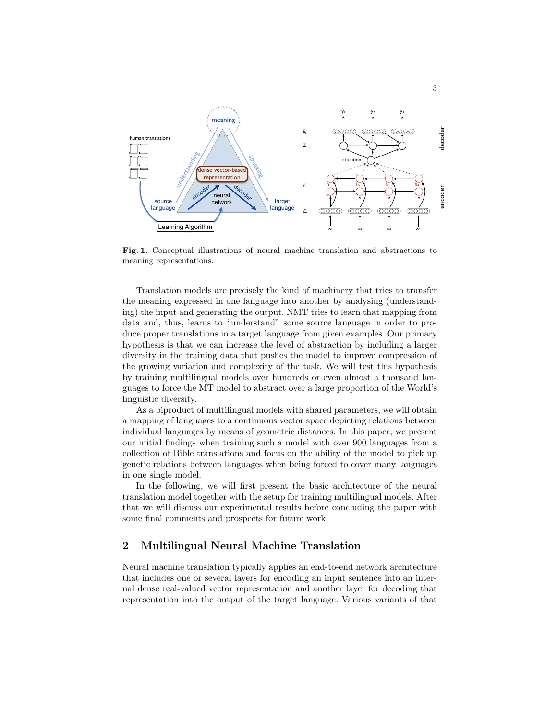

Fig. 1. Conceptual illustrations of neural machine translation and abstractions to meaning representations.

Translation models are precisely the kind of machinery that tries to transfer the meaning expressed in one language into another by analysing (understanding) the input and generating the output. NMT tries to learn that mapping from data and, thus, learns to "understand" some source language in order to produce proper translations in a target language from given examples. Our primary hypothesis is that we can increase the level of abstraction by including a larger diversity in the training data that pushes the model to improve compression of the growing variation and complexity of the task. We will test this hypothesis by training multilingual models over hundreds or even almost a thousand languages to force the MT model to abstract over a large proportion of the World's linguistic diversity.

As a biproduct of multilingual models with shared parameters, we will obtain a mapping of languages to a continuous vector space depicting relations between individual languages by means of geometric distances. In this paper, we present our initial findings when training such a model with over 900 languages from a collection of Bible translations and focus on the ability of the model to pick up genetic relations between languages when being forced to cover many languages in one single model.

In the following, we will first present the basic architecture of the neural translation model together with the setup for training multilingual models. After that we will discuss our experimental results before concluding the paper with some final comments and prospects for future work.

## 2 Multilingual Neural Machine Translation

Neural machine translation typically applies an end-to-end network architecture that includes one or several layers for encoding an input sentence into an internal dense real-valued vector representation and another layer for decoding that representation into the output of the target language. Various variants of that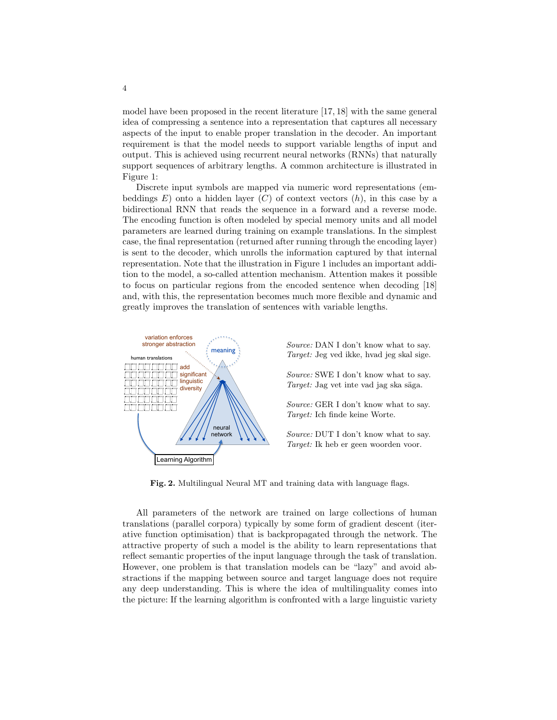model have been proposed in the recent literature [17, 18] with the same general idea of compressing a sentence into a representation that captures all necessary aspects of the input to enable proper translation in the decoder. An important requirement is that the model needs to support variable lengths of input and output. This is achieved using recurrent neural networks (RNNs) that naturally support sequences of arbitrary lengths. A common architecture is illustrated in Figure 1:

Discrete input symbols are mapped via numeric word representations (embeddings  $E$ ) onto a hidden layer  $(C)$  of context vectors  $(h)$ , in this case by a bidirectional RNN that reads the sequence in a forward and a reverse mode. The encoding function is often modeled by special memory units and all model parameters are learned during training on example translations. In the simplest case, the final representation (returned after running through the encoding layer) is sent to the decoder, which unrolls the information captured by that internal representation. Note that the illustration in Figure 1 includes an important addition to the model, a so-called attention mechanism. Attention makes it possible to focus on particular regions from the encoded sentence when decoding [18] and, with this, the representation becomes much more flexible and dynamic and greatly improves the translation of sentences with variable lengths.



Source: DAN I don't know what to say. Target: Jeg ved ikke, hvad jeg skal sige.

Source: SWE I don't know what to say. Target: Jag vet inte vad jag ska säga.

Source: GER I don't know what to say. Target: Ich finde keine Worte.

Source: DUT I don't know what to say. Target: Ik heb er geen woorden voor.

Fig. 2. Multilingual Neural MT and training data with language flags.

All parameters of the network are trained on large collections of human translations (parallel corpora) typically by some form of gradient descent (iterative function optimisation) that is backpropagated through the network. The attractive property of such a model is the ability to learn representations that reflect semantic properties of the input language through the task of translation. However, one problem is that translation models can be "lazy" and avoid abstractions if the mapping between source and target language does not require any deep understanding. This is where the idea of multilinguality comes into the picture: If the learning algorithm is confronted with a large linguistic variety

4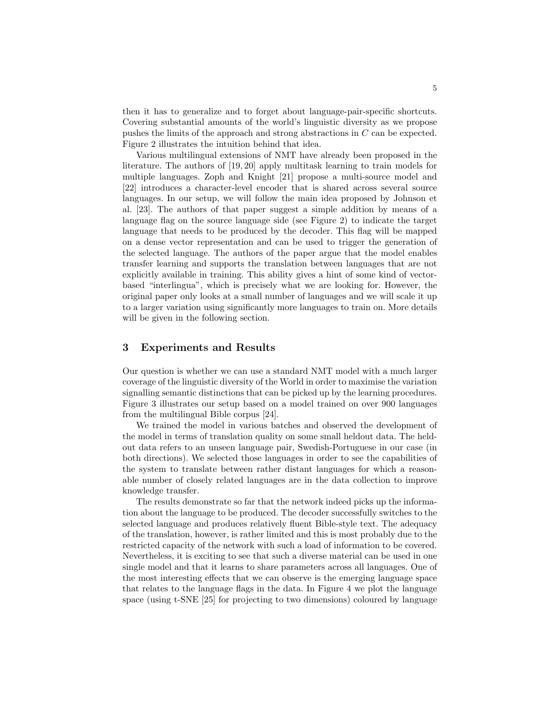then it has to generalize and to forget about language-pair-specific shortcuts. Covering substantial amounts of the world's linguistic diversity as we propose pushes the limits of the approach and strong abstractions in C can be expected. Figure 2 illustrates the intuition behind that idea.

Various multilingual extensions of NMT have already been proposed in the literature. The authors of [19, 20] apply multitask learning to train models for multiple languages. Zoph and Knight [21] propose a multi-source model and [22] introduces a character-level encoder that is shared across several source languages. In our setup, we will follow the main idea proposed by Johnson et al. [23]. The authors of that paper suggest a simple addition by means of a language flag on the source language side (see Figure 2) to indicate the target language that needs to be produced by the decoder. This flag will be mapped on a dense vector representation and can be used to trigger the generation of the selected language. The authors of the paper argue that the model enables transfer learning and supports the translation between languages that are not explicitly available in training. This ability gives a hint of some kind of vectorbased "interlingua", which is precisely what we are looking for. However, the original paper only looks at a small number of languages and we will scale it up to a larger variation using significantly more languages to train on. More details will be given in the following section.

#### 3 Experiments and Results

Our question is whether we can use a standard NMT model with a much larger coverage of the linguistic diversity of the World in order to maximise the variation signalling semantic distinctions that can be picked up by the learning procedures. Figure 3 illustrates our setup based on a model trained on over 900 languages from the multilingual Bible corpus [24].

We trained the model in various batches and observed the development of the model in terms of translation quality on some small heldout data. The heldout data refers to an unseen language pair, Swedish-Portuguese in our case (in both directions). We selected those languages in order to see the capabilities of the system to translate between rather distant languages for which a reasonable number of closely related languages are in the data collection to improve knowledge transfer.

The results demonstrate so far that the network indeed picks up the information about the language to be produced. The decoder successfully switches to the selected language and produces relatively fluent Bible-style text. The adequacy of the translation, however, is rather limited and this is most probably due to the restricted capacity of the network with such a load of information to be covered. Nevertheless, it is exciting to see that such a diverse material can be used in one single model and that it learns to share parameters across all languages. One of the most interesting effects that we can observe is the emerging language space that relates to the language flags in the data. In Figure 4 we plot the language space (using t-SNE [25] for projecting to two dimensions) coloured by language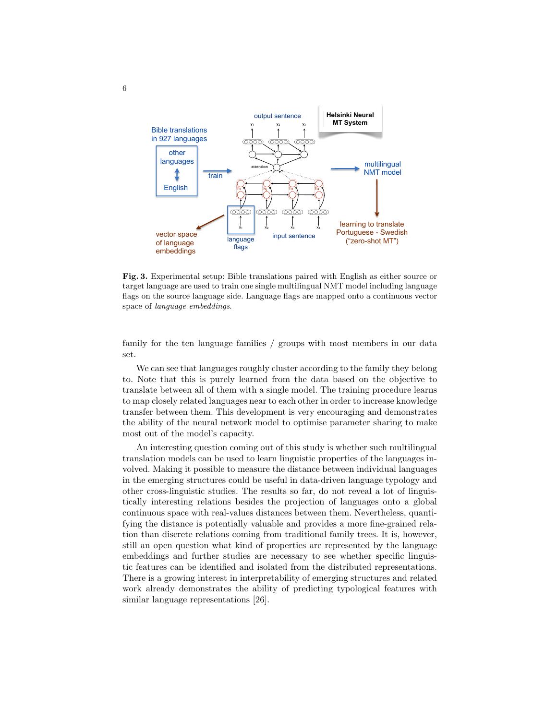

Fig. 3. Experimental setup: Bible translations paired with English as either source or target language are used to train one single multilingual NMT model including language flags on the source language side. Language flags are mapped onto a continuous vector space of language embeddings.

family for the ten language families / groups with most members in our data set.

We can see that languages roughly cluster according to the family they belong to. Note that this is purely learned from the data based on the objective to translate between all of them with a single model. The training procedure learns to map closely related languages near to each other in order to increase knowledge transfer between them. This development is very encouraging and demonstrates the ability of the neural network model to optimise parameter sharing to make most out of the model's capacity.

An interesting question coming out of this study is whether such multilingual translation models can be used to learn linguistic properties of the languages involved. Making it possible to measure the distance between individual languages in the emerging structures could be useful in data-driven language typology and other cross-linguistic studies. The results so far, do not reveal a lot of linguistically interesting relations besides the projection of languages onto a global continuous space with real-values distances between them. Nevertheless, quantifying the distance is potentially valuable and provides a more fine-grained relation than discrete relations coming from traditional family trees. It is, however, still an open question what kind of properties are represented by the language embeddings and further studies are necessary to see whether specific linguistic features can be identified and isolated from the distributed representations. There is a growing interest in interpretability of emerging structures and related work already demonstrates the ability of predicting typological features with similar language representations [26].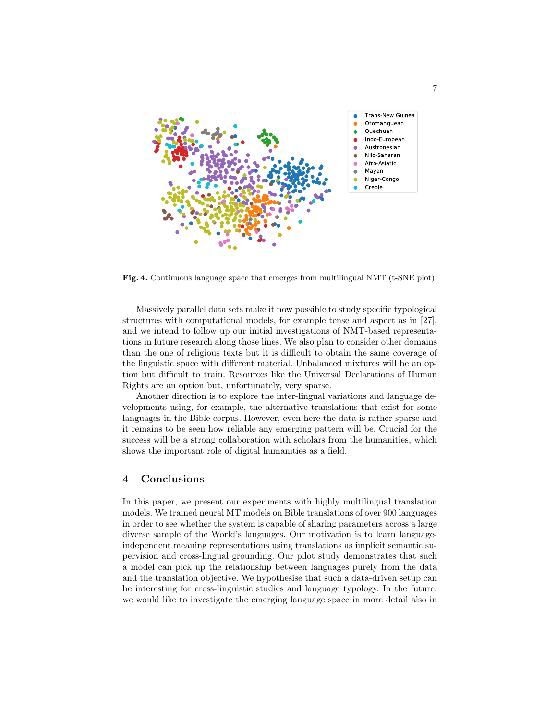

Fig. 4. Continuous language space that emerges from multilingual NMT (t-SNE plot).

Massively parallel data sets make it now possible to study specific typological structures with computational models, for example tense and aspect as in [27], and we intend to follow up our initial investigations of NMT-based representations in future research along those lines. We also plan to consider other domains than the one of religious texts but it is difficult to obtain the same coverage of the linguistic space with different material. Unbalanced mixtures will be an option but difficult to train. Resources like the Universal Declarations of Human Rights are an option but, unfortunately, very sparse.

Another direction is to explore the inter-lingual variations and language developments using, for example, the alternative translations that exist for some languages in the Bible corpus. However, even here the data is rather sparse and it remains to be seen how reliable any emerging pattern will be. Crucial for the success will be a strong collaboration with scholars from the humanities, which shows the important role of digital humanities as a field.

## 4 Conclusions

In this paper, we present our experiments with highly multilingual translation models. We trained neural MT models on Bible translations of over 900 languages in order to see whether the system is capable of sharing parameters across a large diverse sample of the World's languages. Our motivation is to learn languageindependent meaning representations using translations as implicit semantic supervision and cross-lingual grounding. Our pilot study demonstrates that such a model can pick up the relationship between languages purely from the data and the translation objective. We hypothesise that such a data-driven setup can be interesting for cross-linguistic studies and language typology. In the future, we would like to investigate the emerging language space in more detail also in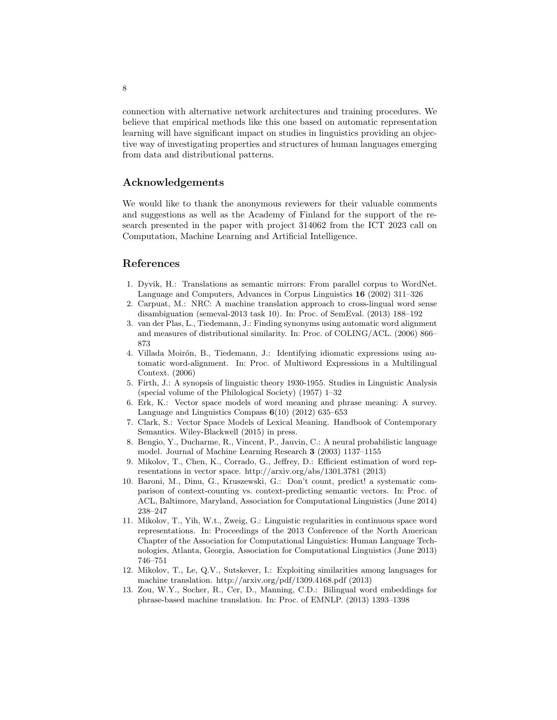connection with alternative network architectures and training procedures. We believe that empirical methods like this one based on automatic representation learning will have significant impact on studies in linguistics providing an objective way of investigating properties and structures of human languages emerging from data and distributional patterns.

## Acknowledgements

We would like to thank the anonymous reviewers for their valuable comments and suggestions as well as the Academy of Finland for the support of the research presented in the paper with project 314062 from the ICT 2023 call on Computation, Machine Learning and Artificial Intelligence.

#### References

- 1. Dyvik, H.: Translations as semantic mirrors: From parallel corpus to WordNet. Language and Computers, Advances in Corpus Linguistics 16 (2002) 311–326
- 2. Carpuat, M.: NRC: A machine translation approach to cross-lingual word sense disambiguation (semeval-2013 task 10). In: Proc. of SemEval. (2013) 188–192
- 3. van der Plas, L., Tiedemann, J.: Finding synonyms using automatic word alignment and measures of distributional similarity. In: Proc. of COLING/ACL. (2006) 866– 873
- 4. Villada Moirón, B., Tiedemann, J.: Identifying idiomatic expressions using automatic word-alignment. In: Proc. of Multiword Expressions in a Multilingual Context. (2006)
- 5. Firth, J.: A synopsis of linguistic theory 1930-1955. Studies in Linguistic Analysis (special volume of the Philological Society) (1957) 1–32
- 6. Erk, K.: Vector space models of word meaning and phrase meaning: A survey. Language and Linguistics Compass  $6(10)$  (2012) 635–653
- 7. Clark, S.: Vector Space Models of Lexical Meaning. Handbook of Contemporary Semantics. Wiley-Blackwell (2015) in press.
- 8. Bengio, Y., Ducharme, R., Vincent, P., Jauvin, C.: A neural probabilistic language model. Journal of Machine Learning Research 3 (2003) 1137–1155
- 9. Mikolov, T., Chen, K., Corrado, G., Jeffrey, D.: Efficient estimation of word representations in vector space. http://arxiv.org/abs/1301.3781 (2013)
- 10. Baroni, M., Dinu, G., Kruszewski, G.: Don't count, predict! a systematic comparison of context-counting vs. context-predicting semantic vectors. In: Proc. of ACL, Baltimore, Maryland, Association for Computational Linguistics (June 2014) 238–247
- 11. Mikolov, T., Yih, W.t., Zweig, G.: Linguistic regularities in continuous space word representations. In: Proceedings of the 2013 Conference of the North American Chapter of the Association for Computational Linguistics: Human Language Technologies, Atlanta, Georgia, Association for Computational Linguistics (June 2013) 746–751
- 12. Mikolov, T., Le, Q.V., Sutskever, I.: Exploiting similarities among languages for machine translation. http://arxiv.org/pdf/1309.4168.pdf (2013)
- 13. Zou, W.Y., Socher, R., Cer, D., Manning, C.D.: Bilingual word embeddings for phrase-based machine translation. In: Proc. of EMNLP. (2013) 1393–1398